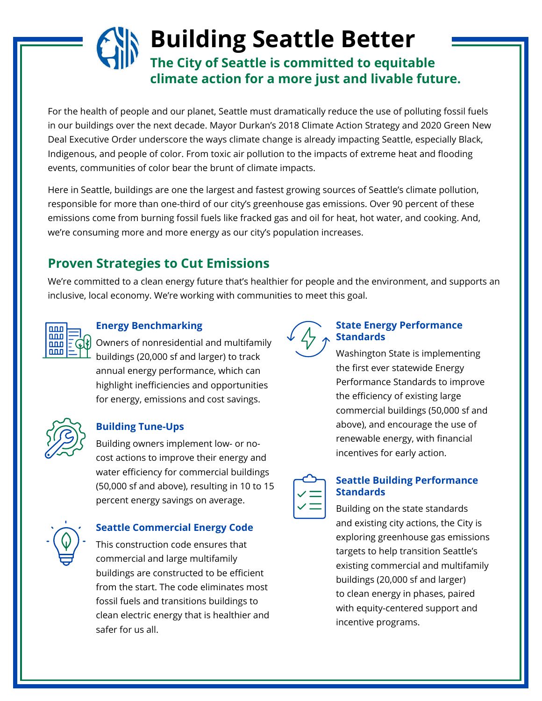# **Building Seattle Better The City of Seattle is committed to equitable climate action for a more just and livable future.**

For the health of people and our planet, Seattle must dramatically reduce the use of polluting fossil fuels in our buildings over the next decade. Mayor Durkan's 2018 Climate Action Strategy and 2020 Green New Deal Executive Order underscore the ways climate change is already impacting Seattle, especially Black, Indigenous, and people of color. From toxic air pollution to the impacts of extreme heat and flooding events, communities of color bear the brunt of climate impacts.

Here in Seattle, buildings are one the largest and fastest growing sources of Seattle's climate pollution, responsible for more than one-third of our city's greenhouse gas emissions. Over 90 percent of these emissions come from burning fossil fuels like fracked gas and oil for heat, hot water, and cooking. And, we're consuming more and more energy as our city's population increases.

## **Proven Strategies to Cut Emissions**

We're committed to a clean energy future that's healthier for people and the environment, and supports an inclusive, local economy. We're working with communities to meet this goal.



## **Energy Benchmarking**

Owners of nonresidential and multifamily buildings (20,000 sf and larger) to track annual energy performance, which can highlight inefficiencies and opportunities for energy, emissions and cost savings.



### **Building Tune-Ups**

Building owners implement low- or nocost actions to improve their energy and water efficiency for commercial buildings (50,000 sf and above), resulting in 10 to 15 percent energy savings on average.



#### **Seattle Commercial Energy Code**

This construction code ensures that commercial and large multifamily buildings are constructed to be efficient from the start. The code eliminates most fossil fuels and transitions buildings to clean electric energy that is healthier and safer for us all.



#### **State Energy Performance Standards**

Washington State is implementing the first ever statewide Energy Performance Standards to improve the efficiency of existing large commercial buildings (50,000 sf and above), and encourage the use of renewable energy, with financial incentives for early action.



#### **Seattle Building Performance Standards**

Building on the state standards and existing city actions, the City is exploring greenhouse gas emissions targets to help transition Seattle's existing commercial and multifamily buildings (20,000 sf and larger) to clean energy in phases, paired with equity-centered support and incentive programs.